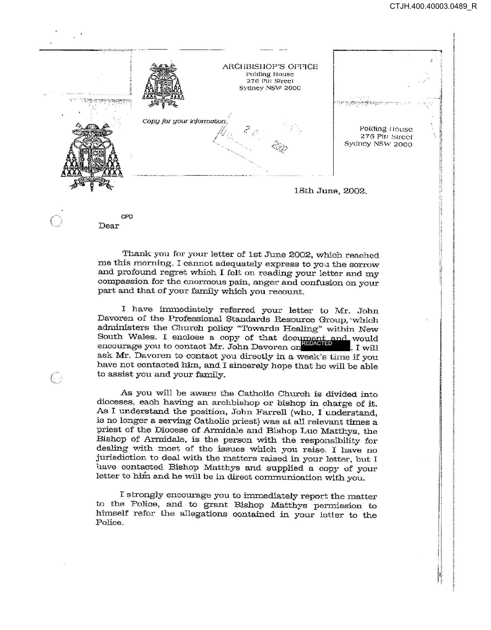

CPD Dear

 $\left(\begin{array}{c} 1 \\ 1 \end{array}\right)$ 

Thank you for your letter of 1st June 2002, which reached me this morning. I cannot adequately express to you the sorrow and profound regret which I felt on reading your letter and my compassion for the enormous pain, anger and confusion on your part and that of your family which you recount.

I have immediately referred your letter to Mr. John Davoren of the Professional Standards Resource Group, "which administers the Church policy "Towards Healing" within New South Wales. I enclose a copy of that document and would encourage you to contact Mr. John Davoren on . I will ask Mr. Davoren to contact you directly in a week's time if you have not contacted him, and I sincerely hope that he will be able to assist you and your family.

As you will be aware the Catholic Church is divided into dioceses, each having an archbishop or bishop in charge of it. As I understand the position, John Farrell (who, I understand, is no longer a serving Catholic priest) was at all relevant times a priest of the Diocese of Armidale and Bishop Luc Matthys, the Bishop of Armidale, is the person with the responsibility for dealing with most of the issues which you raise. I have no jurisdiction to deal with the matters raised in your letter, but I have contacted Bishop Matthys and supplied a copy of your letter to him and he will be in direct communication with you.

I strongly encourage you to immediately report the matter to the Police, and to grant Bishop Matthys permission to himself refer the allegations contained in your letter to the Police.